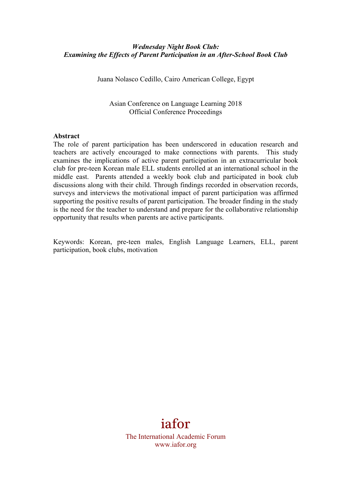## *Wednesday Night Book Club: Examining the Effects of Parent Participation in an After-School Book Club*

Juana Nolasco Cedillo, Cairo American College, Egypt

Asian Conference on Language Learning 2018 Official Conference Proceedings

#### **Abstract**

The role of parent participation has been underscored in education research and teachers are actively encouraged to make connections with parents. This study examines the implications of active parent participation in an extracurricular book club for pre-teen Korean male ELL students enrolled at an international school in the middle east. Parents attended a weekly book club and participated in book club discussions along with their child. Through findings recorded in observation records, surveys and interviews the motivational impact of parent participation was affirmed supporting the positive results of parent participation. The broader finding in the study is the need for the teacher to understand and prepare for the collaborative relationship opportunity that results when parents are active participants.

Keywords: Korean, pre-teen males, English Language Learners, ELL, parent participation, book clubs, motivation

# iafor

The International Academic Forum www.iafor.org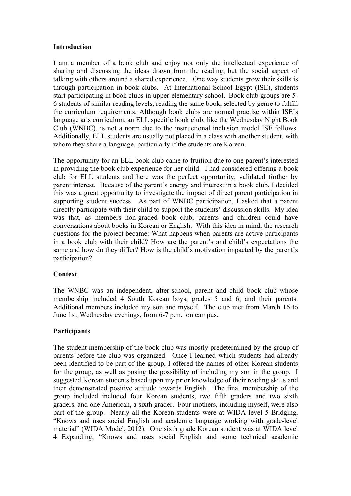#### **Introduction**

I am a member of a book club and enjoy not only the intellectual experience of sharing and discussing the ideas drawn from the reading, but the social aspect of talking with others around a shared experience. One way students grow their skills is through participation in book clubs. At International School Egypt (ISE), students start participating in book clubs in upper-elementary school. Book club groups are 5- 6 students of similar reading levels, reading the same book, selected by genre to fulfill the curriculum requirements. Although book clubs are normal practise within ISE's language arts curriculum, an ELL specific book club, like the Wednesday Night Book Club (WNBC), is not a norm due to the instructional inclusion model ISE follows. Additionally, ELL students are usually not placed in a class with another student, with whom they share a language, particularly if the students are Korean.

The opportunity for an ELL book club came to fruition due to one parent's interested in providing the book club experience for her child. I had considered offering a book club for ELL students and here was the perfect opportunity, validated further by parent interest. Because of the parent's energy and interest in a book club, I decided this was a great opportunity to investigate the impact of direct parent participation in supporting student success. As part of WNBC participation, I asked that a parent directly participate with their child to support the students' discussion skills. My idea was that, as members non-graded book club, parents and children could have conversations about books in Korean or English. With this idea in mind, the research questions for the project became: What happens when parents are active participants in a book club with their child? How are the parent's and child's expectations the same and how do they differ? How is the child's motivation impacted by the parent's participation?

## **Context**

The WNBC was an independent, after-school, parent and child book club whose membership included 4 South Korean boys, grades 5 and 6, and their parents. Additional members included my son and myself. The club met from March 16 to June 1st, Wednesday evenings, from 6-7 p.m. on campus.

## **Participants**

The student membership of the book club was mostly predetermined by the group of parents before the club was organized. Once I learned which students had already been identified to be part of the group, I offered the names of other Korean students for the group, as well as posing the possibility of including my son in the group. I suggested Korean students based upon my prior knowledge of their reading skills and their demonstrated positive attitude towards English. The final membership of the group included included four Korean students, two fifth graders and two sixth graders, and one American, a sixth grader. Four mothers, including myself, were also part of the group. Nearly all the Korean students were at WIDA level 5 Bridging, "Knows and uses social English and academic language working with grade-level material" (WIDA Model, 2012). One sixth grade Korean student was at WIDA level 4 Expanding, "Knows and uses social English and some technical academic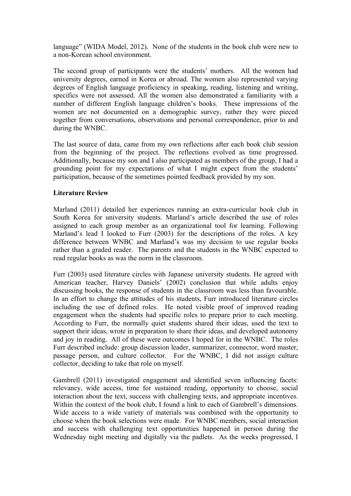language" (WIDA Model, 2012). None of the students in the book club were new to a non-Korean school environment.

The second group of participants were the students' mothers. All the women had university degrees, earned in Korea or abroad. The women also represented varying degrees of English language proficiency in speaking, reading, listening and writing, specifics were not assessed. All the women also demonstrated a familiarity with a number of different English language children's books. These impressions of the women are not documented on a demographic survey, rather they were pieced together from conversations, observations and personal correspondence, prior to and during the WNBC.

The last source of data, came from my own reflections after each book club session from the beginning of the project. The reflections evolved as time progressed. Additionally, because my son and I also participated as members of the group, I had a grounding point for my expectations of what I might expect from the students' participation, because of the sometimes pointed feedback provided by my son.

### **Literature Review**

Marland (2011) detailed her experiences running an extra-curricular book club in South Korea for university students. Marland's article described the use of roles assigned to each group member as an organizational tool for learning. Following Marland's lead I looked to Furr (2003) for the descriptions of the roles. A key difference between WNBC and Marland's was my decision to use regular books rather than a graded reader. The parents and the students in the WNBC expected to read regular books as was the norm in the classroom.

Furr (2003) used literature circles with Japanese university students. He agreed with American teacher, Harvey Daniels' (2002) conclusion that while adults enjoy discussing books, the response of students in the classroom was less than favourable. In an effort to change the attitudes of his students, Furr introduced literature circles including the use of defined roles. He noted visible proof of improved reading engagement when the students had specific roles to prepare prior to each meeting. According to Furr, the normally quiet students shared their ideas, used the text to support their ideas, wrote in preparation to share their ideas, and developed autonomy and joy in reading. All of these were outcomes I hoped for in the WNBC. The roles Furr described include: group discussion leader, summarizer, connector, word master, passage person, and culture collector. For the WNBC, I did not assign culture collector, deciding to take that role on myself.

Gambrell (2011) investigated engagement and identified seven influencing facets: relevancy, wide access, time for sustained reading, opportunity to choose, social interaction about the text, success with challenging texts, and appropriate incentives. Within the context of the book club, I found a link to each of Gambrell's dimensions. Wide access to a wide variety of materials was combined with the opportunity to choose when the book selections were made. For WNBC members, social interaction and success with challenging text opportunities happened in person during the Wednesday night meeting and digitally via the padlets. As the weeks progressed, I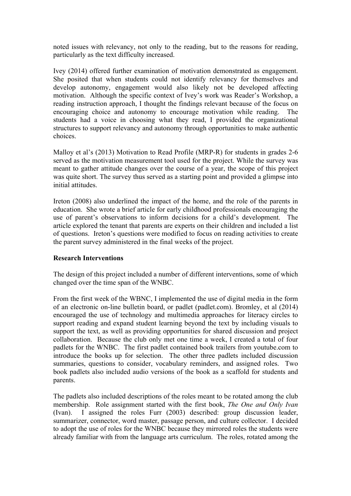noted issues with relevancy, not only to the reading, but to the reasons for reading, particularly as the text difficulty increased.

Ivey (2014) offered further examination of motivation demonstrated as engagement. She posited that when students could not identify relevancy for themselves and develop autonomy, engagement would also likely not be developed affecting motivation. Although the specific context of Ivey's work was Reader's Workshop, a reading instruction approach, I thought the findings relevant because of the focus on encouraging choice and autonomy to encourage motivation while reading. The students had a voice in choosing what they read, I provided the organizational structures to support relevancy and autonomy through opportunities to make authentic choices.

Malloy et al's (2013) Motivation to Read Profile (MRP-R) for students in grades 2-6 served as the motivation measurement tool used for the project. While the survey was meant to gather attitude changes over the course of a year, the scope of this project was quite short. The survey thus served as a starting point and provided a glimpse into initial attitudes.

Ireton (2008) also underlined the impact of the home, and the role of the parents in education. She wrote a brief article for early childhood professionals encouraging the use of parent's observations to inform decisions for a child's development. The article explored the tenant that parents are experts on their children and included a list of questions. Ireton's questions were modified to focus on reading activities to create the parent survey administered in the final weeks of the project.

#### **Research Interventions**

The design of this project included a number of different interventions, some of which changed over the time span of the WNBC.

From the first week of the WBNC, I implemented the use of digital media in the form of an electronic on-line bulletin board, or padlet (padlet.com). Bromley, et al (2014) encouraged the use of technology and multimedia approaches for literacy circles to support reading and expand student learning beyond the text by including visuals to support the text, as well as providing opportunities for shared discussion and project collaboration. Because the club only met one time a week, I created a total of four padlets for the WNBC. The first padlet contained book trailers from youtube.com to introduce the books up for selection. The other three padlets included discussion summaries, questions to consider, vocabulary reminders, and assigned roles. Two book padlets also included audio versions of the book as a scaffold for students and parents.

The padlets also included descriptions of the roles meant to be rotated among the club membership. Role assignment started with the first book, *The One and Only Ivan* (Ivan). I assigned the roles Furr (2003) described: group discussion leader, summarizer, connector, word master, passage person, and culture collector. I decided to adopt the use of roles for the WNBC because they mirrored roles the students were already familiar with from the language arts curriculum. The roles, rotated among the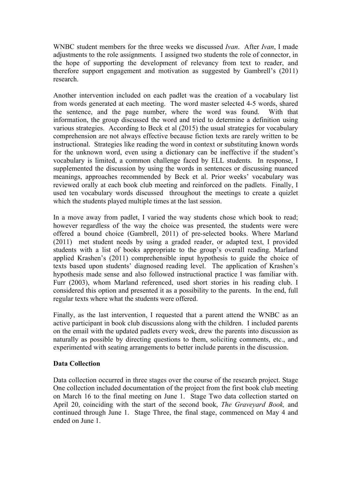WNBC student members for the three weeks we discussed *Ivan*. After *Ivan*, I made adjustments to the role assignments. I assigned two students the role of connector, in the hope of supporting the development of relevancy from text to reader, and therefore support engagement and motivation as suggested by Gambrell's (2011) research.

Another intervention included on each padlet was the creation of a vocabulary list from words generated at each meeting. The word master selected 4-5 words, shared the sentence, and the page number, where the word was found. With that information, the group discussed the word and tried to determine a definition using various strategies. According to Beck et al (2015) the usual strategies for vocabulary comprehension are not always effective because fiction texts are rarely written to be instructional. Strategies like reading the word in context or substituting known words for the unknown word, even using a dictionary can be ineffective if the student's vocabulary is limited, a common challenge faced by ELL students. In response, I supplemented the discussion by using the words in sentences or discussing nuanced meanings, approaches recommended by Beck et al. Prior weeks' vocabulary was reviewed orally at each book club meeting and reinforced on the padlets. Finally, I used ten vocabulary words discussed throughout the meetings to create a quizlet which the students played multiple times at the last session.

In a move away from padlet, I varied the way students chose which book to read; however regardless of the way the choice was presented, the students were were offered a bound choice (Gambrell, 2011) of pre-selected books. Where Marland (2011) met student needs by using a graded reader, or adapted text, I provided students with a list of books appropriate to the group's overall reading. Marland applied Krashen's (2011) comprehensible input hypothesis to guide the choice of texts based upon students' diagnosed reading level. The application of Krashen's hypothesis made sense and also followed instructional practice I was familiar with. Furr (2003), whom Marland referenced, used short stories in his reading club. I considered this option and presented it as a possibility to the parents. In the end, full regular texts where what the students were offered.

Finally, as the last intervention, I requested that a parent attend the WNBC as an active participant in book club discussions along with the children. I included parents on the email with the updated padlets every week, drew the parents into discussion as naturally as possible by directing questions to them, soliciting comments, etc., and experimented with seating arrangements to better include parents in the discussion.

## **Data Collection**

Data collection occurred in three stages over the course of the research project. Stage One collection included documentation of the project from the first book club meeting on March 16 to the final meeting on June 1. Stage Two data collection started on April 20, coinciding with the start of the second book, *The Graveyard Book,* and continued through June 1. Stage Three, the final stage, commenced on May 4 and ended on June 1.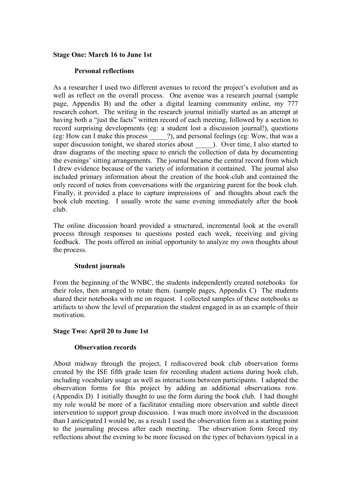#### **Stage One: March 16 to June 1st**

### **Personal reflections**

As a researcher I used two different avenues to record the project's evolution and as well as reflect on the overall process. One avenue was a research journal (sample page, Appendix B) and the other a digital learning community online, my 777 research cohort. The writing in the research journal initially started as an attempt at having both a "just the facts" written record of each meeting, followed by a section to record surprising developments (eg: a student lost a discussion journal!), questions (eg: How can I make this process \_\_\_\_\_?), and personal feelings (eg: Wow, that was a super discussion tonight, we shared stories about \_\_\_\_\_\_\_). Over time, I also started to draw diagrams of the meeting space to enrich the collection of data by documenting the evenings' sitting arrangements. The journal became the central record from which I drew evidence because of the variety of information it contained. The journal also included primary information about the creation of the book-club and contained the only record of notes from conversations with the organizing parent for the book club. Finally, it provided a place to capture impressions of and thoughts about each the book club meeting. I usually wrote the same evening immediately after the book club.

The online discussion board provided a structured, incremental look at the overall process through responses to questions posted each week, receiving and giving feedback. The posts offered an initial opportunity to analyze my own thoughts about the process.

#### **Student journals**

From the beginning of the WNBC, the students independently created notebooks for their roles, then arranged to rotate them. (sample pages, Appendix C) The students shared their notebooks with me on request. I collected samples of these notebooks as artifacts to show the level of preparation the student engaged in as an example of their motivation.

#### **Stage Two: April 20 to June 1st**

#### **Observation records**

About midway through the project, I rediscovered book club observation forms created by the ISE fifth grade team for recording student actions during book club, including vocabulary usage as well as interactions between participants. I adapted the observation forms for this project by adding an additional observations row. (Appendix D) I initially thought to use the form during the book club. I had thought my role would be more of a facilitator entailing more observation and subtle direct intervention to support group discussion. I was much more involved in the discussion than I anticipated I would be, as a result I used the observation form as a starting point to the journaling process after each meeting. The observation form forced my reflections about the evening to be more focused on the types of behaviors typical in a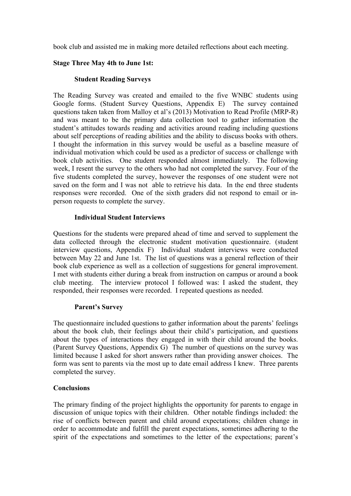book club and assisted me in making more detailed reflections about each meeting.

## **Stage Three May 4th to June 1st:**

## **Student Reading Surveys**

The Reading Survey was created and emailed to the five WNBC students using Google forms. (Student Survey Questions, Appendix E) The survey contained questions taken taken from Malloy et al's (2013) Motivation to Read Profile (MRP-R) and was meant to be the primary data collection tool to gather information the student's attitudes towards reading and activities around reading including questions about self perceptions of reading abilities and the ability to discuss books with others. I thought the information in this survey would be useful as a baseline measure of individual motivation which could be used as a predictor of success or challenge with book club activities. One student responded almost immediately. The following week, I resent the survey to the others who had not completed the survey. Four of the five students completed the survey, however the responses of one student were not saved on the form and I was not able to retrieve his data. In the end three students responses were recorded. One of the sixth graders did not respond to email or inperson requests to complete the survey.

### **Individual Student Interviews**

Questions for the students were prepared ahead of time and served to supplement the data collected through the electronic student motivation questionnaire. (student interview questions, Appendix F) Individual student interviews were conducted between May 22 and June 1st. The list of questions was a general reflection of their book club experience as well as a collection of suggestions for general improvement. I met with students either during a break from instruction on campus or around a book club meeting. The interview protocol I followed was: I asked the student, they responded, their responses were recorded. I repeated questions as needed.

## **Parent's Survey**

The questionnaire included questions to gather information about the parents' feelings about the book club, their feelings about their child's participation, and questions about the types of interactions they engaged in with their child around the books. (Parent Survey Questions, Appendix G) The number of questions on the survey was limited because I asked for short answers rather than providing answer choices. The form was sent to parents via the most up to date email address I knew. Three parents completed the survey.

## **Conclusions**

The primary finding of the project highlights the opportunity for parents to engage in discussion of unique topics with their children. Other notable findings included: the rise of conflicts between parent and child around expectations; children change in order to accommodate and fulfill the parent expectations, sometimes adhering to the spirit of the expectations and sometimes to the letter of the expectations; parent's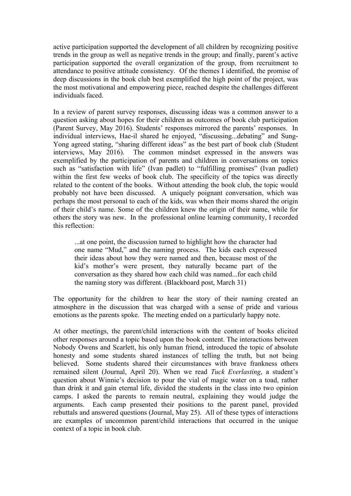active participation supported the development of all children by recognizing positive trends in the group as well as negative trends in the group; and finally, parent's active participation supported the overall organization of the group, from recruitment to attendance to positive attitude consistency. Of the themes I identified, the promise of deep discussions in the book club best exemplified the high point of the project, was the most motivational and empowering piece, reached despite the challenges different individuals faced.

In a review of parent survey responses, discussing ideas was a common answer to a question asking about hopes for their children as outcomes of book club participation (Parent Survey, May 2016). Students' responses mirrored the parents' responses. In individual interviews, Hae-il shared he enjoyed, "discussing...debating" and Sung-Yong agreed stating, "sharing different ideas" as the best part of book club (Student interviews, May 2016). The common mindset expressed in the answers was exemplified by the participation of parents and children in conversations on topics such as "satisfaction with life" (Ivan padlet) to "fulfilling promises" (Ivan padlet) within the first few weeks of book club. The specificity of the topics was directly related to the content of the books. Without attending the book club, the topic would probably not have been discussed. A uniquely poignant conversation, which was perhaps the most personal to each of the kids, was when their moms shared the origin of their child's name. Some of the children knew the origin of their name, while for others the story was new. In the professional online learning community, I recorded this reflection:

...at one point, the discussion turned to highlight how the character had one name "Mud," and the naming process. The kids each expressed their ideas about how they were named and then, because most of the kid's mother's were present, they naturally became part of the conversation as they shared how each child was named...for each child the naming story was different. (Blackboard post, March 31)

The opportunity for the children to hear the story of their naming created an atmosphere in the discussion that was charged with a sense of pride and various emotions as the parents spoke. The meeting ended on a particularly happy note.

At other meetings, the parent/child interactions with the content of books elicited other responses around a topic based upon the book content. The interactions between Nobody Owens and Scarlett, his only human friend, introduced the topic of absolute honesty and some students shared instances of telling the truth, but not being believed. Some students shared their circumstances with brave frankness others remained silent (Journal, April 20). When we read *Tuck Everlasting*, a student's question about Winnie's decision to pour the vial of magic water on a toad, rather than drink it and gain eternal life, divided the students in the class into two opinion camps. I asked the parents to remain neutral, explaining they would judge the arguments. Each camp presented their positions to the parent panel, provided rebuttals and answered questions (Journal, May 25). All of these types of interactions are examples of uncommon parent/child interactions that occurred in the unique context of a topic in book club.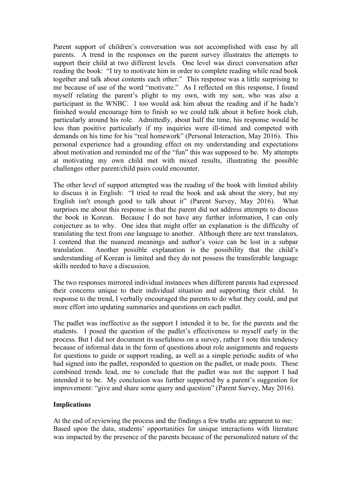Parent support of children's conversation was not accomplished with ease by all parents. A trend in the responses on the parent survey illustrates the attempts to support their child at two different levels. One level was direct conversation after reading the book: "I try to motivate him in order to complete reading while read book together and talk about contents each other." This response was a little surprising to me because of use of the word "motivate." As I reflected on this response, I found myself relating the parent's plight to my own, with my son, who was also a participant in the WNBC. I too would ask him about the reading and if he hadn't finished would encourage him to finish so we could talk about it before book club, particularly around his role. Admittedly, about half the time, his response would be less than positive particularly if my inquiries were ill-timed and competed with demands on his time for his "real homework" (Personal Interaction, May 2016). This personal experience had a grounding effect on my understanding and expectations about motivation and reminded me of the "fun" this was supposed to be. My attempts at motivating my own child met with mixed results, illustrating the possible challenges other parent/child pairs could encounter.

The other level of support attempted was the reading of the book with limited ability to discuss it in English: "I tried to read the book and ask about the story, but my English isn't enough good to talk about it" (Parent Survey, May 2016). What surprises me about this response is that the parent did not address attempts to discuss the book in Korean. Because I do not have any further information, I can only conjecture as to why. One idea that might offer an explanation is the difficulty of translating the text from one language to another. Although there are text translators, I contend that the nuanced meanings and author's voice can be lost in a subpar translation. Another possible explanation is the possibility that the child's understanding of Korean is limited and they do not possess the transferable language skills needed to have a discussion.

The two responses mirrored individual instances when different parents had expressed their concerns unique to their individual situation and supporting their child. In response to the trend, I verbally encouraged the parents to do what they could, and put more effort into updating summaries and questions on each padlet.

The padlet was ineffective as the support I intended it to be, for the parents and the students. I posed the question of the padlet's effectiveness to myself early in the process. But I did not document its usefulness on a survey, rather I note this tendency because of informal data in the form of questions about role assignments and requests for questions to guide or support reading, as well as a simple periodic audits of who had signed into the padlet, responded to question on the padlet, or made posts. These combined trends lead, me to conclude that the padlet was not the support I had intended it to be. My conclusion was further supported by a parent's suggestion for improvement: "give and share some query and question" (Parent Survey, May 2016).

## **Implications**

At the end of reviewing the process and the findings a few truths are apparent to me: Based upon the data, students' opportunities for unique interactions with literature was impacted by the presence of the parents because of the personalized nature of the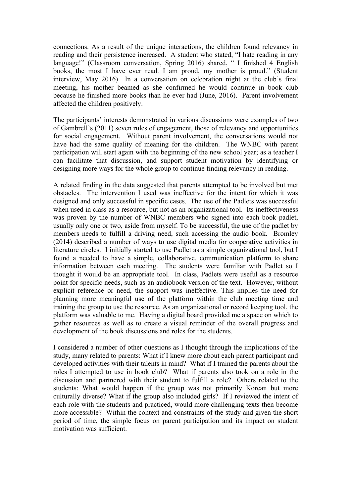connections. As a result of the unique interactions, the children found relevancy in reading and their persistence increased. A student who stated, "I hate reading in any language!" (Classroom conversation, Spring 2016) shared, " I finished 4 English books, the most I have ever read. I am proud, my mother is proud." (Student interview, May 2016) In a conversation on celebration night at the club's final meeting, his mother beamed as she confirmed he would continue in book club because he finished more books than he ever had (June, 2016). Parent involvement affected the children positively.

The participants' interests demonstrated in various discussions were examples of two of Gambrell's (2011) seven rules of engagement, those of relevancy and opportunities for social engagement. Without parent involvement, the conversations would not have had the same quality of meaning for the children. The WNBC with parent participation will start again with the beginning of the new school year; as a teacher I can facilitate that discussion, and support student motivation by identifying or designing more ways for the whole group to continue finding relevancy in reading.

A related finding in the data suggested that parents attempted to be involved but met obstacles. The intervention I used was ineffective for the intent for which it was designed and only successful in specific cases. The use of the Padlets was successful when used in class as a resource, but not as an organizational tool. Its ineffectiveness was proven by the number of WNBC members who signed into each book padlet, usually only one or two, aside from myself. To be successful, the use of the padlet by members needs to fulfill a driving need, such accessing the audio book. Bromley (2014) described a number of ways to use digital media for cooperative activities in literature circles. I initially started to use Padlet as a simple organizational tool, but I found a needed to have a simple, collaborative, communication platform to share information between each meeting. The students were familiar with Padlet so I thought it would be an appropriate tool. In class, Padlets were useful as a resource point for specific needs, such as an audiobook version of the text. However, without explicit reference or need, the support was ineffective. This implies the need for planning more meaningful use of the platform within the club meeting time and training the group to use the resource. As an organizational or record keeping tool, the platform was valuable to me. Having a digital board provided me a space on which to gather resources as well as to create a visual reminder of the overall progress and development of the book discussions and roles for the students.

I considered a number of other questions as I thought through the implications of the study, many related to parents: What if I knew more about each parent participant and developed activities with their talents in mind? What if I trained the parents about the roles I attempted to use in book club? What if parents also took on a role in the discussion and partnered with their student to fulfill a role? Others related to the students: What would happen if the group was not primarily Korean but more culturally diverse? What if the group also included girls? If I reviewed the intent of each role with the students and practiced, would more challenging texts then become more accessible? Within the context and constraints of the study and given the short period of time, the simple focus on parent participation and its impact on student motivation was sufficient.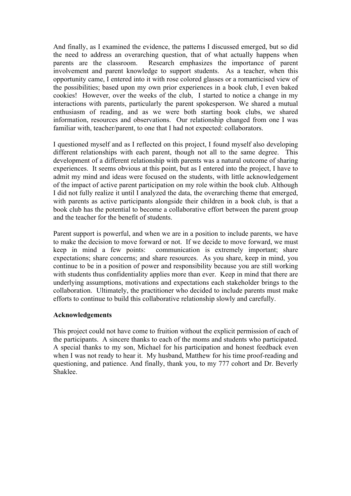And finally, as I examined the evidence, the patterns I discussed emerged, but so did the need to address an overarching question, that of what actually happens when parents are the classroom. Research emphasizes the importance of parent involvement and parent knowledge to support students. As a teacher, when this opportunity came, I entered into it with rose colored glasses or a romanticised view of the possibilities; based upon my own prior experiences in a book club, I even baked cookies! However, over the weeks of the club, I started to notice a change in my interactions with parents, particularly the parent spokesperson. We shared a mutual enthusiasm of reading, and as we were both starting book clubs, we shared information, resources and observations. Our relationship changed from one I was familiar with, teacher/parent, to one that I had not expected: collaborators.

I questioned myself and as I reflected on this project, I found myself also developing different relationships with each parent, though not all to the same degree. This development of a different relationship with parents was a natural outcome of sharing experiences. It seems obvious at this point, but as I entered into the project, I have to admit my mind and ideas were focused on the students, with little acknowledgement of the impact of active parent participation on my role within the book club. Although I did not fully realize it until I analyzed the data, the overarching theme that emerged, with parents as active participants alongside their children in a book club, is that a book club has the potential to become a collaborative effort between the parent group and the teacher for the benefit of students.

Parent support is powerful, and when we are in a position to include parents, we have to make the decision to move forward or not. If we decide to move forward, we must keep in mind a few points: communication is extremely important; share expectations; share concerns; and share resources. As you share, keep in mind, you continue to be in a position of power and responsibility because you are still working with students thus confidentiality applies more than ever. Keep in mind that there are underlying assumptions, motivations and expectations each stakeholder brings to the collaboration. Ultimately, the practitioner who decided to include parents must make efforts to continue to build this collaborative relationship slowly and carefully.

#### **Acknowledgements**

This project could not have come to fruition without the explicit permission of each of the participants. A sincere thanks to each of the moms and students who participated. A special thanks to my son, Michael for his participation and honest feedback even when I was not ready to hear it. My husband, Matthew for his time proof-reading and questioning, and patience. And finally, thank you, to my 777 cohort and Dr. Beverly Shaklee.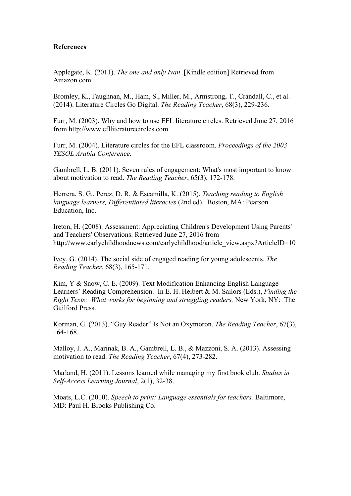#### **References**

Applegate, K. (2011). *The one and only Ivan*. [Kindle edition] Retrieved from Amazon.com

Bromley, K., Faughnan, M., Ham, S., Miller, M., Armstrong, T., Crandall, C., et al. (2014). Literature Circles Go Digital. *The Reading Teacher*, 68(3), 229-236.

Furr, M. (2003). Why and how to use EFL literature circles. Retrieved June 27, 2016 from http://www.eflliteraturecircles.com

Furr, M. (2004). Literature circles for the EFL classroom. *Proceedings of the 2003 TESOL Arabia Conference.*

Gambrell, L. B. (2011). Seven rules of engagement: What's most important to know about motivation to read. *The Reading Teacher*, 65(3), 172-178.

Herrera, S. G., Perez, D. R, & Escamilla, K. (2015). *Teaching reading to English language learners, Differentiated literacies* (2nd ed). Boston, MA: Pearson Education, Inc.

Ireton, H. (2008). Assessment: Appreciating Children's Development Using Parents' and Teachers' Observations. Retrieved June 27, 2016 from http://www.earlychildhoodnews.com/earlychildhood/article\_view.aspx?ArticleID=10

Ivey, G. (2014). The social side of engaged reading for young adolescents. *The Reading Teacher*, 68(3), 165-171.

Kim, Y & Snow, C. E. (2009). Text Modification Enhancing English Language Learners' Reading Comprehension. In E. H. Heibert & M. Sailors (Eds.), *Finding the Right Texts: What works for beginning and struggling readers.* New York, NY: The Guilford Press.

Korman, G. (2013). "Guy Reader" Is Not an Oxymoron. *The Reading Teacher*, 67(3), 164-168.

Malloy, J. A., Marinak, B. A., Gambrell, L. B., & Mazzoni, S. A. (2013). Assessing motivation to read. *The Reading Teacher*, 67(4), 273-282.

Marland, H. (2011). Lessons learned while managing my first book club. *Studies in Self-Access Learning Journal*, 2(1), 32-38.

Moats, L.C. (2010). *Speech to print: Language essentials for teachers.* Baltimore, MD: Paul H. Brooks Publishing Co.